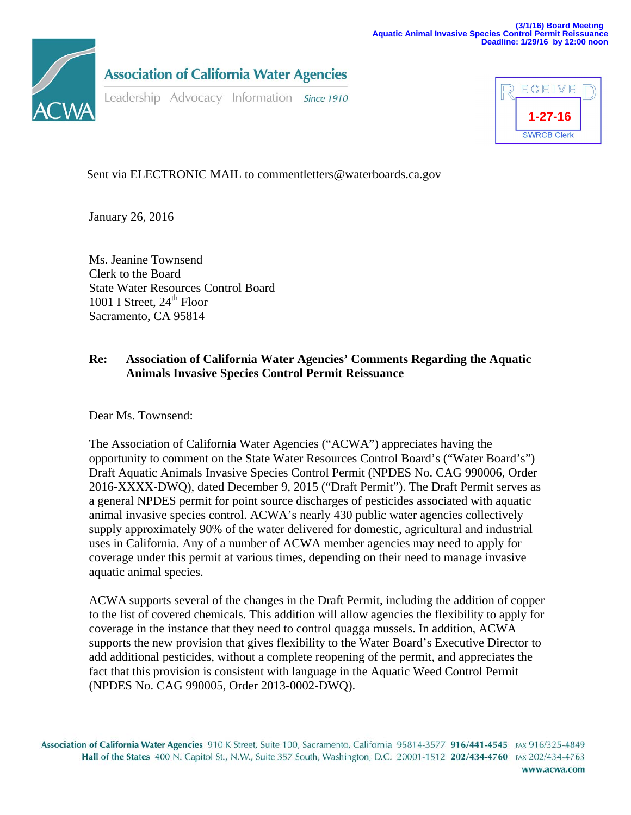

**Association of California Water Agencies** 

Leadership Advocacy Information Since 1910



Sent via ELECTRONIC MAIL to commentletters@waterboards.ca.gov

January 26, 2016

Ms. Jeanine Townsend Clerk to the Board State Water Resources Control Board 1001 I Street,  $24<sup>th</sup>$  Floor Sacramento, CA 95814

## **Re: Association of California Water Agencies' Comments Regarding the Aquatic Animals Invasive Species Control Permit Reissuance**

Dear Ms. Townsend:

The Association of California Water Agencies ("ACWA") appreciates having the opportunity to comment on the State Water Resources Control Board's ("Water Board's") Draft Aquatic Animals Invasive Species Control Permit (NPDES No. CAG 990006, Order 2016-XXXX-DWQ), dated December 9, 2015 ("Draft Permit"). The Draft Permit serves as a general NPDES permit for point source discharges of pesticides associated with aquatic animal invasive species control. ACWA's nearly 430 public water agencies collectively supply approximately 90% of the water delivered for domestic, agricultural and industrial uses in California. Any of a number of ACWA member agencies may need to apply for coverage under this permit at various times, depending on their need to manage invasive aquatic animal species.

ACWA supports several of the changes in the Draft Permit, including the addition of copper to the list of covered chemicals. This addition will allow agencies the flexibility to apply for coverage in the instance that they need to control quagga mussels. In addition, ACWA supports the new provision that gives flexibility to the Water Board's Executive Director to add additional pesticides, without a complete reopening of the permit, and appreciates the fact that this provision is consistent with language in the Aquatic Weed Control Permit (NPDES No. CAG 990005, Order 2013-0002-DWQ).